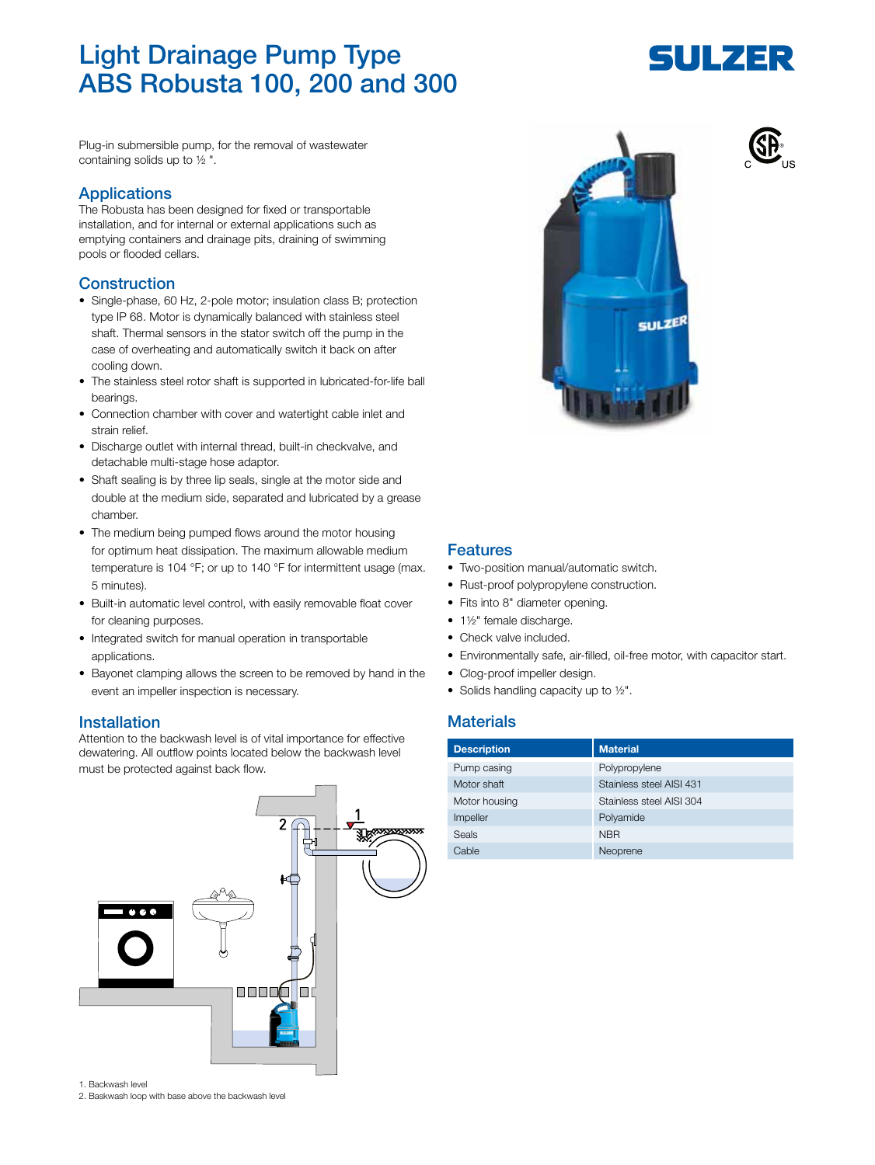# Light Drainage Pump Type ABS Robusta 100, 200 and 300

ULZER

Plug-in submersible pump, for the removal of wastewater containing solids up to ½ ".

#### Applications

The Robusta has been designed for fixed or transportable installation, and for internal or external applications such as emptying containers and drainage pits, draining of swimming pools or flooded cellars.

## Construction

- Single-phase, 60 Hz, 2-pole motor; insulation class B; protection type IP 68. Motor is dynamically balanced with stainless steel shaft. Thermal sensors in the stator switch off the pump in the case of overheating and automatically switch it back on after cooling down.
- The stainless steel rotor shaft is supported in lubricated-for-life ball bearings.
- Connection chamber with cover and watertight cable inlet and strain relief.
- Discharge outlet with internal thread, built-in checkvalve, and detachable multi-stage hose adaptor.
- Shaft sealing is by three lip seals, single at the motor side and double at the medium side, separated and lubricated by a grease chamber.
- The medium being pumped flows around the motor housing for optimum heat dissipation. The maximum allowable medium temperature is 104 °F; or up to 140 °F for intermittent usage (max. 5 minutes).
- Built-in automatic level control, with easily removable float cover for cleaning purposes.
- Integrated switch for manual operation in transportable applications.
- Bayonet clamping allows the screen to be removed by hand in the event an impeller inspection is necessary.

#### Installation

Attention to the backwash level is of vital importance for effective dewatering. All outflow points located below the backwash level must be protected against back flow.



1. Backwash level

2. Baskwash loop with base above the backwash level



### Features

- Two-position manual/automatic switch.
- Rust-proof polypropylene construction.
- Fits into 8" diameter opening.
- 1½" female discharge.
- Check valve included.
- Environmentally safe, air-filled, oil-free motor, with capacitor start.
- Clog-proof impeller design.
- Solids handling capacity up to 1/2".

# **Materials**

| <b>Description</b> | <b>Material</b>          |
|--------------------|--------------------------|
| Pump casing        | Polypropylene            |
| Motor shaft        | Stainless steel AISI 431 |
| Motor housing      | Stainless steel AISI 304 |
| Impeller           | Polyamide                |
| Seals              | <b>NBR</b>               |
| Cable              | Neoprene                 |